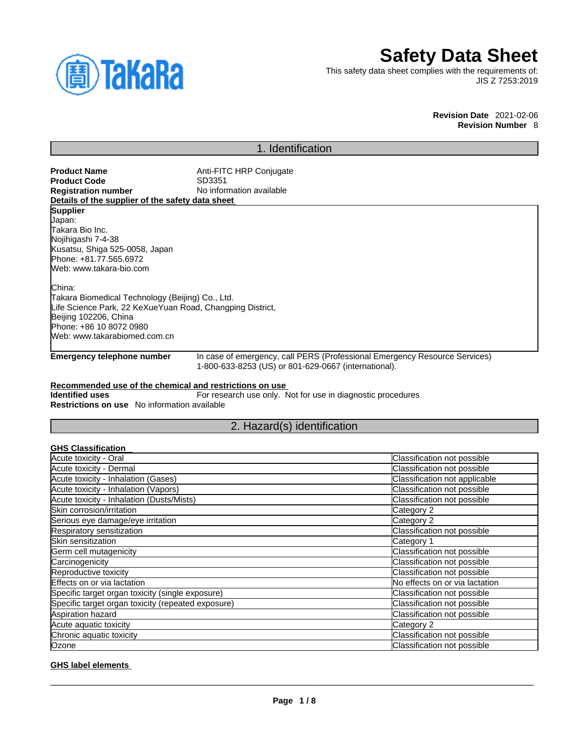

# **Safety Data Sheet**

This safety data sheet complies with the requirements of: JIS Z 7253:2019

> **Revision Date** 2021-02-06 **Revision Number** 8

# 1. Identification

| <b>Product Name</b>                                       | Anti-FITC HRP Conjugate                                                                                                            |
|-----------------------------------------------------------|------------------------------------------------------------------------------------------------------------------------------------|
| <b>Product Code</b>                                       | SD3351                                                                                                                             |
| <b>Registration number</b>                                | No information available                                                                                                           |
| Details of the supplier of the safety data sheet          |                                                                                                                                    |
| Supplier                                                  |                                                                                                                                    |
| Japan:                                                    |                                                                                                                                    |
| Takara Bio Inc.                                           |                                                                                                                                    |
| Nojihigashi 7-4-38                                        |                                                                                                                                    |
| Kusatsu, Shiga 525-0058, Japan                            |                                                                                                                                    |
| Phone: +81.77.565.6972                                    |                                                                                                                                    |
| Web: www.takara-bio.com                                   |                                                                                                                                    |
| China:                                                    |                                                                                                                                    |
| Takara Biomedical Technology (Beijing) Co., Ltd.          |                                                                                                                                    |
| Life Science Park, 22 KeXueYuan Road, Changping District, |                                                                                                                                    |
| Beijing 102206, China                                     |                                                                                                                                    |
| Phone: +86 10 8072 0980                                   |                                                                                                                                    |
| Web: www.takarabiomed.com.cn                              |                                                                                                                                    |
| <b>Emergency telephone number</b>                         | In case of emergency, call PERS (Professional Emergency Resource Services)<br>1-800-633-8253 (US) or 801-629-0667 (international). |
|                                                           |                                                                                                                                    |
| Recommended use of the chemical and restrictions on use   |                                                                                                                                    |
| <b>Identified uses</b>                                    | For research use only. Not for use in diagnostic procedures                                                                        |

**Restrictions on use** No information available

# 2. Hazard(s) identification

| <b>GHS Classification</b>                          |                                |
|----------------------------------------------------|--------------------------------|
| Acute toxicity - Oral                              | Classification not possible    |
| Acute toxicity - Dermal                            | Classification not possible    |
| Acute toxicity - Inhalation (Gases)                | Classification not applicable  |
| Acute toxicity - Inhalation (Vapors)               | Classification not possible    |
| Acute toxicity - Inhalation (Dusts/Mists)          | Classification not possible    |
| Skin corrosion/irritation                          | Category 2                     |
| Serious eye damage/eye irritation                  | Category 2                     |
| Respiratory sensitization                          | Classification not possible    |
| Skin sensitization                                 | Category 1                     |
| Germ cell mutagenicity                             | Classification not possible    |
| Carcinogenicity                                    | Classification not possible    |
| Reproductive toxicity                              | Classification not possible    |
| Effects on or via lactation                        | No effects on or via lactation |
| Specific target organ toxicity (single exposure)   | Classification not possible    |
| Specific target organ toxicity (repeated exposure) | Classification not possible    |
| Aspiration hazard                                  | Classification not possible    |
| Acute aquatic toxicity                             | Category 2                     |
| Chronic aquatic toxicity                           | Classification not possible    |
| Ozone                                              | Classification not possible    |

#### **GHS label elements**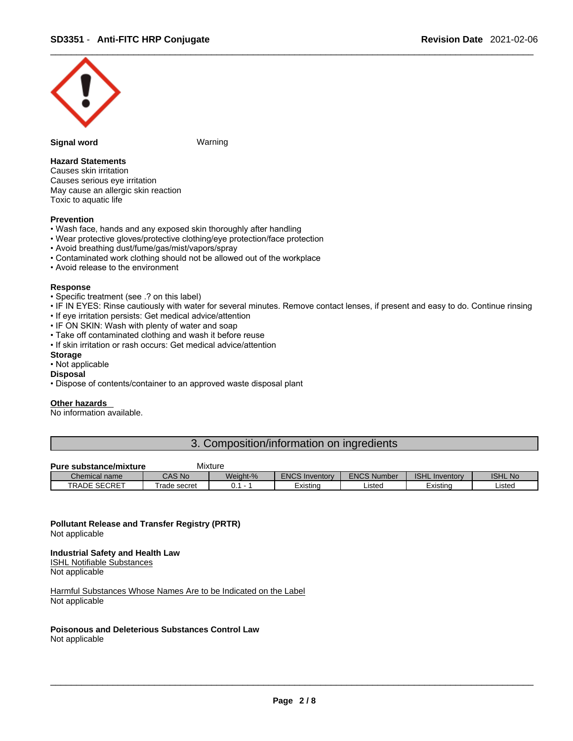

#### **Signal word Warning**

#### **Hazard Statements**

Causes skin irritation Causes serious eye irritation May cause an allergic skin reaction Toxic to aquatic life

#### **Prevention**

- Wash face, hands and any exposed skin thoroughly after handling
- Wear protective gloves/protective clothing/eye protection/face protection
- Avoid breathing dust/fume/gas/mist/vapors/spray
- Contaminated work clothing should not be allowed out of the workplace
- Avoid release to the environment

#### **Response**

- Specific treatment (see .? on this label)
- IF IN EYES: Rinse cautiously with water for several minutes. Remove contact lenses, if present and easy to do. Continue rinsing
- If eye irritation persists: Get medical advice/attention
- IF ON SKIN: Wash with plenty of water and soap
- Take off contaminated clothing and wash it before reuse
- If skin irritation or rash occurs: Get medical advice/attention

#### **Storage**

#### • Not applicable

#### **Disposal**

• Dispose of contents/container to an approved waste disposal plant

#### **Other hazards**

No information available.

#### 3. Composition/information on ingredients

#### **Pure substance/mixture** Mixture

| arv ouwolunooninaluiv  |                 |          |                            |                    |                     |                |
|------------------------|-----------------|----------|----------------------------|--------------------|---------------------|----------------|
| Chemical name          | CAS No          | Weight-% | <b>ENCS</b><br>, Inventory | <b>ENCS Number</b> | ISHL<br>. Inventory | <b>ISHL No</b> |
| <b>SECRET</b><br>TRADE | Trade<br>secret |          | Existina                   | Listed             | Existina            | Listed         |

#### **Pollutant Release and Transfer Registry (PRTR)** Not applicable

#### **Industrial Safety and Health Law**  ISHL Notifiable Substances

Not applicable

Harmful Substances Whose Names Are to be Indicated on the Label Not applicable

#### **Poisonous and Deleterious Substances Control Law**

Not applicable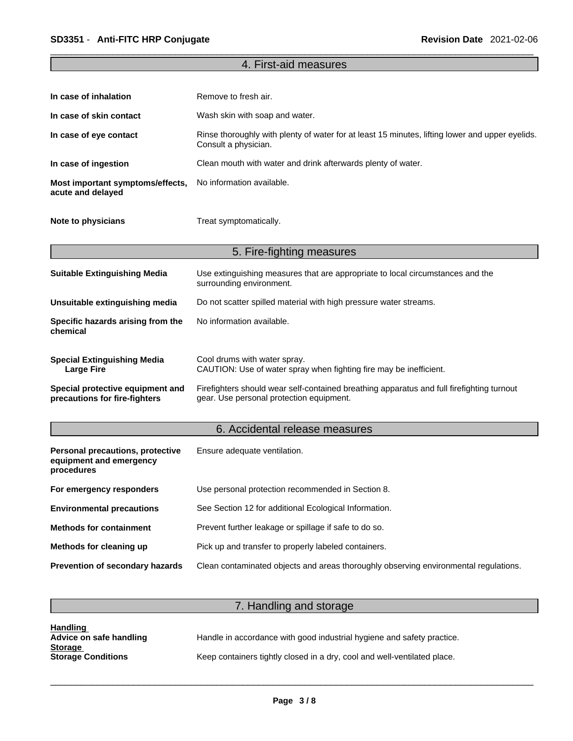**Handling** 

# 4. First-aid measures

| In case of inhalation                                 | Remove to fresh air.                                                                                                    |
|-------------------------------------------------------|-------------------------------------------------------------------------------------------------------------------------|
| In case of skin contact                               | Wash skin with soap and water.                                                                                          |
| In case of eye contact                                | Rinse thoroughly with plenty of water for at least 15 minutes, lifting lower and upper eyelids.<br>Consult a physician. |
| In case of ingestion                                  | Clean mouth with water and drink afterwards plenty of water.                                                            |
| Most important symptoms/effects,<br>acute and delayed | No information available.                                                                                               |
| Note to physicians                                    | Treat symptomatically.                                                                                                  |

## 5. Fire-fighting measures **Suitable Extinguishing Media** Use extinguishing measures that are appropriate to local circumstances and the surrounding environment. **Unsuitable extinguishing media** Do not scatter spilled material with high pressure water streams. **Specific hazards arising from the chemical** No information available. **Special Extinguishing Media** Cool drums with water spray.<br> **Large Fire** CAUTION: Use of water spra CAUTION: Use of water spray when fighting fire may be inefficient. **Special protective equipment and precautions for fire-fighters** Firefighters should wear self-contained breathing apparatus and full firefighting turnout gear. Use personal protection equipment.

#### 6. Accidental release measures

| Personal precautions, protective<br>equipment and emergency<br>procedures | Ensure adequate ventilation.                                                         |
|---------------------------------------------------------------------------|--------------------------------------------------------------------------------------|
| For emergency responders                                                  | Use personal protection recommended in Section 8.                                    |
| <b>Environmental precautions</b>                                          | See Section 12 for additional Ecological Information.                                |
| <b>Methods for containment</b>                                            | Prevent further leakage or spillage if safe to do so.                                |
| Methods for cleaning up                                                   | Pick up and transfer to properly labeled containers.                                 |
| <b>Prevention of secondary hazards</b>                                    | Clean contaminated objects and areas thoroughly observing environmental regulations. |

#### 7. Handling and storage

| <u>nanumny</u><br>Advice on safe handling   | Handle in accordance with good industrial hygiene and safety practice.   |
|---------------------------------------------|--------------------------------------------------------------------------|
| <b>Storage</b><br><b>Storage Conditions</b> | Keep containers tightly closed in a dry, cool and well-ventilated place. |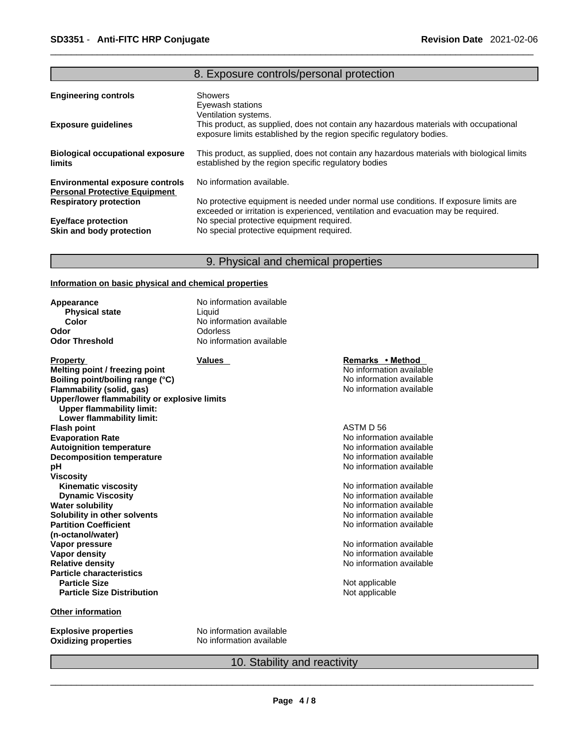|                                                                                | 8. Exposure controls/personal protection                                                                                                                                    |
|--------------------------------------------------------------------------------|-----------------------------------------------------------------------------------------------------------------------------------------------------------------------------|
| <b>Engineering controls</b>                                                    | Showers                                                                                                                                                                     |
|                                                                                | Eyewash stations<br>Ventilation systems.                                                                                                                                    |
| <b>Exposure guidelines</b>                                                     | This product, as supplied, does not contain any hazardous materials with occupational<br>exposure limits established by the region specific regulatory bodies.              |
| <b>Biological occupational exposure</b><br><b>limits</b>                       | This product, as supplied, does not contain any hazardous materials with biological limits<br>established by the region specific regulatory bodies                          |
| <b>Environmental exposure controls</b><br><b>Personal Protective Equipment</b> | No information available.                                                                                                                                                   |
| <b>Respiratory protection</b>                                                  | No protective equipment is needed under normal use conditions. If exposure limits are<br>exceeded or irritation is experienced, ventilation and evacuation may be required. |
| <b>Eye/face protection</b>                                                     | No special protective equipment required.                                                                                                                                   |

# 9. Physical and chemical properties

#### **Information on basic physical and chemical properties**

| Appearance<br><b>Physical state</b><br>Color<br>Odor<br><b>Odor Threshold</b> | No information available<br>Liquid<br>No information available<br>Odorless<br>No information available |                          |
|-------------------------------------------------------------------------------|--------------------------------------------------------------------------------------------------------|--------------------------|
| <b>Property</b>                                                               | <b>Values</b>                                                                                          | Remarks • Method         |
| Melting point / freezing point                                                |                                                                                                        | No information available |
| Boiling point/boiling range (°C)                                              |                                                                                                        | No information available |
| <b>Flammability (solid, gas)</b>                                              |                                                                                                        | No information available |
| Upper/lower flammability or explosive limits                                  |                                                                                                        |                          |
| <b>Upper flammability limit:</b>                                              |                                                                                                        |                          |
| Lower flammability limit:                                                     |                                                                                                        |                          |
| <b>Flash point</b>                                                            |                                                                                                        | ASTM D 56                |
| <b>Evaporation Rate</b>                                                       |                                                                                                        | No information available |
| <b>Autoignition temperature</b>                                               |                                                                                                        | No information available |
| <b>Decomposition temperature</b>                                              |                                                                                                        | No information available |
| рH                                                                            |                                                                                                        | No information available |
| <b>Viscosity</b>                                                              |                                                                                                        |                          |
| <b>Kinematic viscosity</b>                                                    |                                                                                                        | No information available |
| <b>Dynamic Viscosity</b>                                                      |                                                                                                        | No information available |
| <b>Water solubility</b>                                                       |                                                                                                        | No information available |
| Solubility in other solvents                                                  |                                                                                                        | No information available |
| <b>Partition Coefficient</b>                                                  |                                                                                                        | No information available |
| (n-octanol/water)                                                             |                                                                                                        |                          |
| Vapor pressure                                                                |                                                                                                        | No information available |
| Vapor density                                                                 |                                                                                                        | No information available |
| <b>Relative density</b>                                                       |                                                                                                        | No information available |
| <b>Particle characteristics</b>                                               |                                                                                                        |                          |
| <b>Particle Size</b>                                                          |                                                                                                        | Not applicable           |
| <b>Particle Size Distribution</b>                                             |                                                                                                        | Not applicable           |
| <b>Other information</b>                                                      |                                                                                                        |                          |
| <b>Explosive properties</b>                                                   | No information available                                                                               |                          |
| <b>Oxidizing properties</b>                                                   | No information available                                                                               |                          |

**Skin and body protection** No special protective equipment required.

10. Stability and reactivity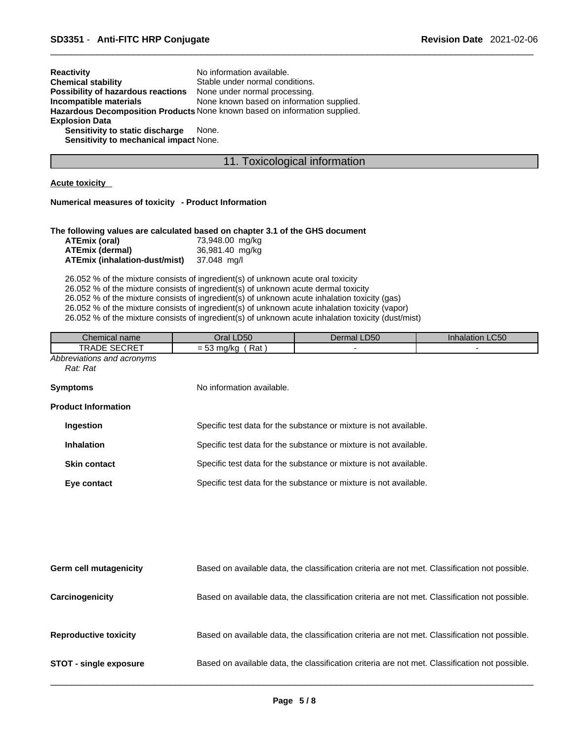| <b>Reactivity</b>                                                       | No information available.                                                  |
|-------------------------------------------------------------------------|----------------------------------------------------------------------------|
| <b>Chemical stability</b>                                               | Stable under normal conditions.                                            |
| <b>Possibility of hazardous reactions</b> None under normal processing. |                                                                            |
| Incompatible materials                                                  | None known based on information supplied.                                  |
|                                                                         | Hazardous Decomposition Products None known based on information supplied. |
| <b>Explosion Data</b>                                                   |                                                                            |
| Sensitivity to static discharge                                         | None.                                                                      |
| Sensitivity to mechanical impact None.                                  |                                                                            |

11. Toxicological information

#### **Acute toxicity**

#### **Numerical measures of toxicity - Product Information**

#### **The following values are calculated based on chapter 3.1 of the GHS document**

| ATEmix (oral)                 | 73,948.00 mg/kg |
|-------------------------------|-----------------|
| ATEmix (dermal)               | 36,981.40 mg/kg |
| ATEmix (inhalation-dust/mist) | 37.048 mg/l     |

26.052 % of the mixture consists of ingredient(s) of unknown acute oral toxicity 26.052 % of the mixture consists of ingredient(s) of unknown acute dermal toxicity 26.052 % of the mixture consists of ingredient(s) of unknown acute inhalation toxicity (gas) 26.052 % of the mixture consists of ingredient(s) of unknown acute inhalation toxicity (vapor) 26.052 % of the mixture consists of ingredient(s) of unknown acute inhalation toxicity (dust/mist)

| Chemical<br>name                    | Oral LD50                                          | Dermal LD50 | $\sim$ $\sim$ $\sim$<br><b>Inhalation</b><br>LUOU |
|-------------------------------------|----------------------------------------------------|-------------|---------------------------------------------------|
| <b>SECRET</b><br>TD.<br><b>RADE</b> | Rat<br>, ma/ko<br>$\overline{\phantom{0}}$<br>= లం |             |                                                   |
| hhroviations and acronyms           |                                                    |             |                                                   |

#### *Abbreviations and acronyms Rat: Rat*

**Symptoms** No information available.

#### **Product Information**

| Ingestion           | Specific test data for the substance or mixture is not available. |
|---------------------|-------------------------------------------------------------------|
| <b>Inhalation</b>   | Specific test data for the substance or mixture is not available. |
| <b>Skin contact</b> | Specific test data for the substance or mixture is not available. |
| Eye contact         | Specific test data for the substance or mixture is not available. |

| <b>Germ cell mutagenicity</b> | Based on available data, the classification criteria are not met. Classification not possible. |
|-------------------------------|------------------------------------------------------------------------------------------------|
| Carcinogenicity               | Based on available data, the classification criteria are not met. Classification not possible. |
| <b>Reproductive toxicity</b>  | Based on available data, the classification criteria are not met. Classification not possible. |
| <b>STOT - single exposure</b> | Based on available data, the classification criteria are not met. Classification not possible. |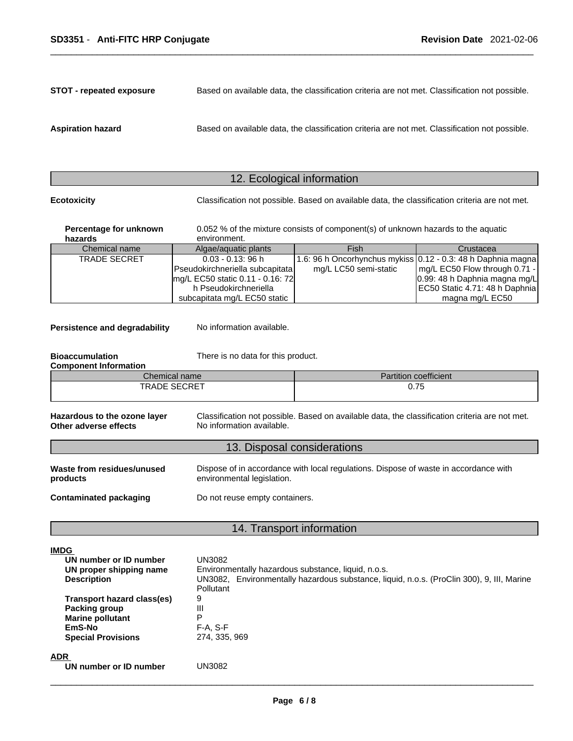**STOT - repeated exposure** Based on available data, the classification criteria are not met. Classification not possible.

**Aspiration hazard** Based on available data, the classification criteria are not met. Classification not possible.

# 12. Ecological information

**Ecotoxicity** Classification not possible. Based on available data, the classification criteria are not met.

| Percentage for unknown<br>hazards | 0.052 % of the mixture consists of component(s) of unknown hazards to the aquatic<br>environment. |                                                                  |                                         |  |
|-----------------------------------|---------------------------------------------------------------------------------------------------|------------------------------------------------------------------|-----------------------------------------|--|
| Chemical name                     | Algae/aguatic plants                                                                              | Fish                                                             | Crustacea                               |  |
| <b>TRADE SECRET</b>               | $0.03 - 0.13$ : 96 h                                                                              | 1.6: 96 h Oncorhynchus mykiss $ 0.12 - 0.3$ : 48 h Daphnia magna |                                         |  |
|                                   | Pseudokirchneriella subcapitata                                                                   | mg/L LC50 semi-static                                            | $\lfloor$ mg/L EC50 Flow through 0.71 - |  |
|                                   | mg/L EC50 static 0.11 - 0.16: 72                                                                  |                                                                  | 0.99: 48 h Daphnia magna mg/L           |  |
|                                   | h Pseudokirchneriella                                                                             |                                                                  | EC50 Static 4.71: 48 h Daphnia          |  |
|                                   | subcapitata mg/L EC50 static                                                                      |                                                                  | magna mg/L EC50                         |  |

**Persistence and degradability** No information available.

| <b>Bioaccumulation</b> |  |
|------------------------|--|
|------------------------|--|

**Bioman There is no data for this product.** 

| <b>Component Information</b> |  |
|------------------------------|--|
|------------------------------|--|

**IMDG** 

| $\sim$<br>Chemical name | ∖ coefficient<br>Partition |
|-------------------------|----------------------------|
| <b>TRADE SECRET</b>     | 0.75<br>. .                |
|                         |                            |

**Hazardous to the ozone layer** Classification not possible. Based on available data, the classification criteria are not met.<br>**Other adverse effects No information available**. **Other** adverse effects

#### 13. Disposal considerations

| Waste from residues/unused    | Dispose of in accordance with local regulations. Dispose of waste in accordance with |
|-------------------------------|--------------------------------------------------------------------------------------|
| products                      | environmental legislation.                                                           |
| <b>Contaminated packaging</b> | Do not reuse empty containers.                                                       |

# 14. Transport information

| טשווו                      |                                                                                              |
|----------------------------|----------------------------------------------------------------------------------------------|
| UN number or ID number     | <b>UN3082</b>                                                                                |
| UN proper shipping name    | Environmentally hazardous substance, liquid, n.o.s.                                          |
| <b>Description</b>         | Environmentally hazardous substance, liquid, n.o.s. (ProClin 300), 9, III, Marine<br>UN3082. |
|                            | Pollutant                                                                                    |
| Transport hazard class(es) | 9                                                                                            |
| Packing group              | Ш                                                                                            |
| <b>Marine pollutant</b>    | P                                                                                            |
| EmS-No                     | $F-A, S-F$                                                                                   |
| <b>Special Provisions</b>  | 274, 335, 969                                                                                |
| <b>ADR</b>                 |                                                                                              |
| UN number or ID number     | UN3082                                                                                       |
|                            |                                                                                              |
|                            |                                                                                              |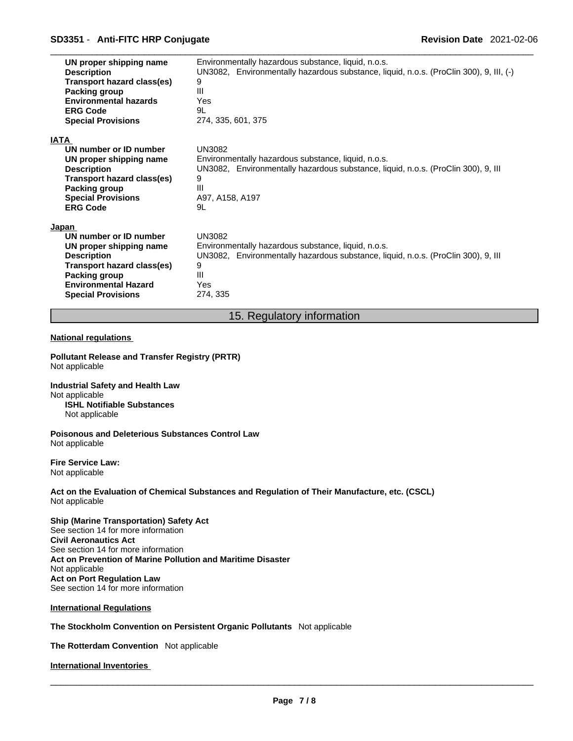#### \_\_\_\_\_\_\_\_\_\_\_\_\_\_\_\_\_\_\_\_\_\_\_\_\_\_\_\_\_\_\_\_\_\_\_\_\_\_\_\_\_\_\_\_\_\_\_\_\_\_\_\_\_\_\_\_\_\_\_\_\_\_\_\_\_\_\_\_\_\_\_\_\_\_\_\_\_\_\_\_\_\_\_\_\_\_\_\_\_\_\_\_\_ **SD3351** - **Anti-FITC HRP Conjugate Revision Date** 2021-02-06

| UN proper shipping name<br><b>Description</b><br>Transport hazard class(es)<br>Packing group<br><b>Environmental hazards</b><br><b>ERG Code</b><br><b>Special Provisions</b> | Environmentally hazardous substance, liquid, n.o.s.<br>UN3082, Environmentally hazardous substance, liquid, n.o.s. (ProClin 300), 9, III, (-)<br>9<br>Ш<br>Yes<br>9L<br>274, 335, 601, 375 |
|------------------------------------------------------------------------------------------------------------------------------------------------------------------------------|--------------------------------------------------------------------------------------------------------------------------------------------------------------------------------------------|
| IATA                                                                                                                                                                         |                                                                                                                                                                                            |
| UN number or ID number                                                                                                                                                       | <b>UN3082</b>                                                                                                                                                                              |
| UN proper shipping name                                                                                                                                                      | Environmentally hazardous substance, liquid, n.o.s.                                                                                                                                        |
| <b>Description</b>                                                                                                                                                           | UN3082, Environmentally hazardous substance, liquid, n.o.s. (ProClin 300), 9, III                                                                                                          |
| Transport hazard class(es)                                                                                                                                                   | 9                                                                                                                                                                                          |
| Packing group                                                                                                                                                                | III                                                                                                                                                                                        |
| <b>Special Provisions</b><br><b>ERG Code</b>                                                                                                                                 | A97, A158, A197<br>9L                                                                                                                                                                      |
|                                                                                                                                                                              |                                                                                                                                                                                            |
| Japan                                                                                                                                                                        |                                                                                                                                                                                            |
| UN number or ID number                                                                                                                                                       | <b>UN3082</b>                                                                                                                                                                              |
| UN proper shipping name                                                                                                                                                      | Environmentally hazardous substance, liquid, n.o.s.                                                                                                                                        |
| <b>Description</b>                                                                                                                                                           | UN3082, Environmentally hazardous substance, liquid, n.o.s. (ProClin 300), 9, III                                                                                                          |
| Transport hazard class(es)                                                                                                                                                   | 9<br>Ш                                                                                                                                                                                     |
| Packing group<br><b>Environmental Hazard</b>                                                                                                                                 | Yes                                                                                                                                                                                        |
| <b>Special Provisions</b>                                                                                                                                                    | 274, 335                                                                                                                                                                                   |
|                                                                                                                                                                              |                                                                                                                                                                                            |

### 15. Regulatory information

#### **National regulations**

**Pollutant Release and Transfer Registry (PRTR)** Not applicable

**Industrial Safety and Health Law** Not applicable **ISHL Notifiable Substances** Not applicable

**Poisonous and Deleterious Substances Control Law** Not applicable

**Fire Service Law:** Not applicable

**Act on the Evaluation of Chemical Substances and Regulation of Their Manufacture, etc. (CSCL)** Not applicable

**Ship (Marine Transportation) Safety Act** See section 14 for more information **Civil Aeronautics Act** See section 14 for more information **Act on Prevention of Marine Pollution and Maritime Disaster** Not applicable **Act on Port Regulation Law** See section 14 for more information

**International Regulations**

**The Stockholm Convention on Persistent Organic Pollutants** Not applicable

**The Rotterdam Convention** Not applicable

**International Inventories**